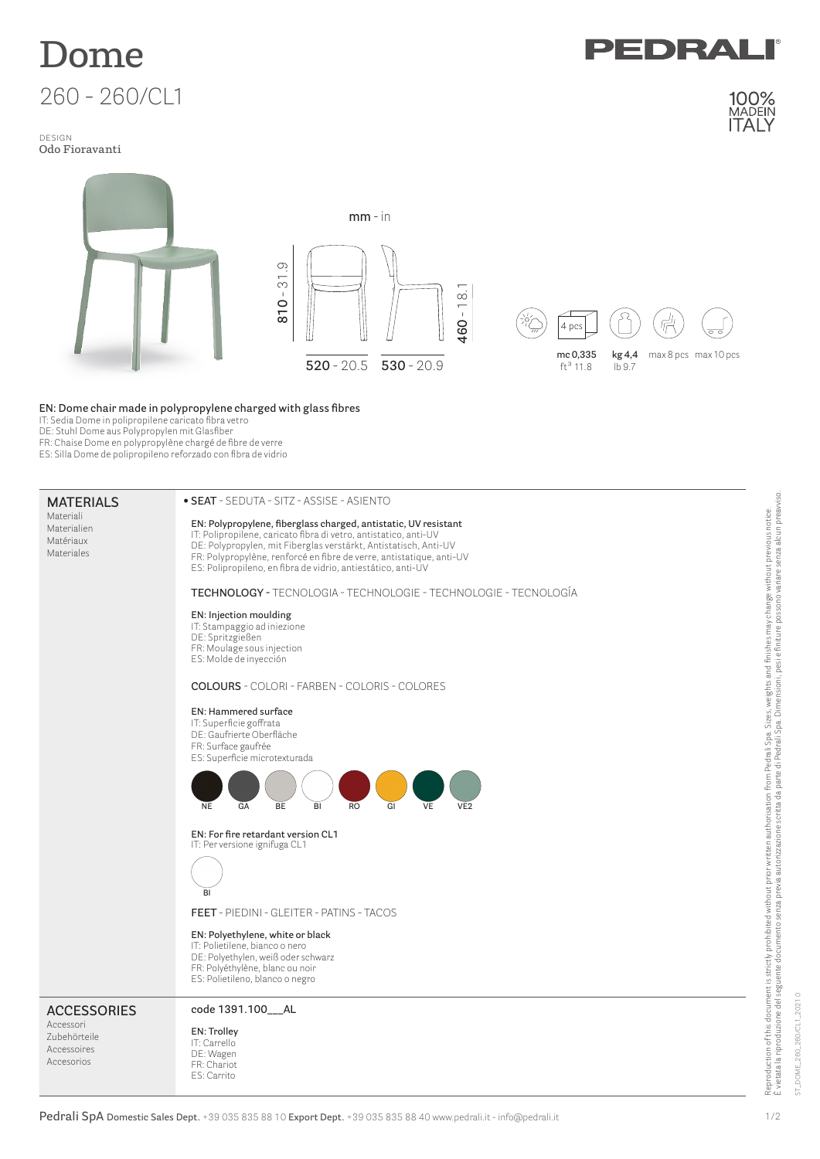

## design **Odo Fioravanti**



## **EN: Dome chair made in polypropylene charged with glass fibres**

**• SEAT** - SEDUTA - SITZ - ASSISE - ASIENTO

IT: Sedia Dome in polipropilene caricato fibra vetro

DE: Stuhl Dome aus Polypropylen mit Glasfiber

**MATERIALS**

FR: Chaise Dome en polypropylène chargé de fibre de verre

ES: Silla Dome de polipropileno reforzado con fibra de vidrio

## **Pedrali SpA Domestic Sales Dept.** +39 035 835 88 10 **Export Dept.** +39 035 835 88 40 www.pedrali.it - info@pedrali.it Materiali Materialien Matériaux Materiales **EN: Polypropylene, fiberglass charged, antistatic, UV resistant** IT: Polipropilene, caricato fibra di vetro, antistatico, anti-UV DE: Polypropylen, mit Fiberglas verstärkt, Antistatisch, Anti-UV FR: Polypropylène, renforcé en fibre de verre, antistatique, anti-UV ES: Polipropileno, en fibra de vidrio, antiestático, anti-UV **TECHNOLOGY -** TECNOLOGIA - TECHNOLOGIE - TECHNOLOGIE - TECNOLOGÍA **EN: Injection moulding** IT: Stampaggio ad iniezione DE: Spritzgießen FR: Moulage sous injection ES: Molde de inyección **COLOURS** - COLORI - FARBEN - COLORIS - COLORES **EN: Hammered surface** IT: Superficie goffrata DE: Gaufrierte Oberfläche FR: Surface gaufrée ES: Superficie microtexturada **EN: For fire retardant version CL1** IT: Per versione ignifuga CL1 **FEET** - PIEDINI - GLEITER - PATINS - TACOS **EN: Polyethylene, white or black** IT: Polietilene, bianco o nero DE: Polyethylen, weiß oder schwarz FR: Polyéthylène, blanc ou noir ES: Polietileno, blanco o negro **ACCESSORIES** Accessori Zubehörteile Accessoires Accesorios **code 1391.100\_\_\_AL EN: Trolley** IT: Carrello DE: Wagen FR: Chariot ES: Carrito **NE GA BE BI RO GI VE VE2 BI**

Reproduction of this document is strictly prohibited without prior written authorisation from Pedrali Spa. Sizes, weights and finishes may change without previous notice.<br>È vietata la riproduzione del seguente documento se È vietata la riproduzione del seguente documento senza previa autorizzazione scritta da parte di Pedrali Spa. Dimensioni, pesi e finiture possono variare senza alcun preavviso. Reproduction of this document is strictly prohibited without prior written authorisation from Pedrali Spa. Sizes, weights and finishes may change without previous notice.

EDRA

100%

ST\_DOME\_260\_260/CL1\_2021.0

ST\_DOME\_260\_260/CL1

2021.